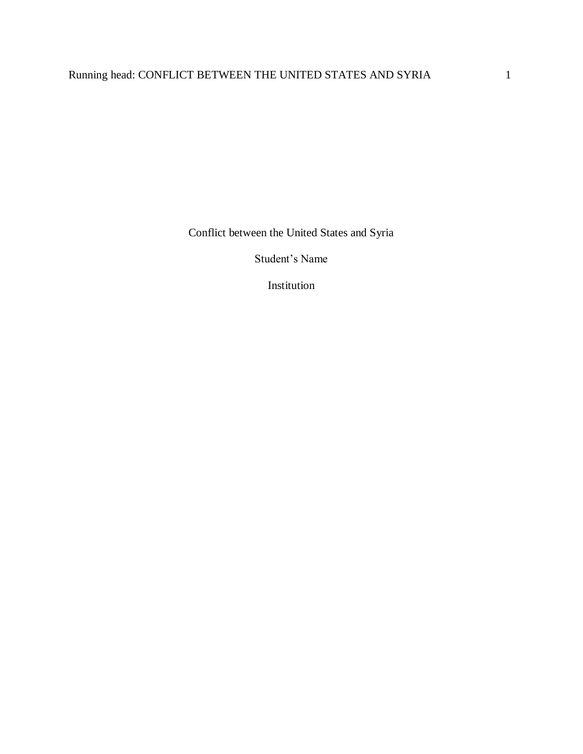Conflict between the United States and Syria

Student's Name

Institution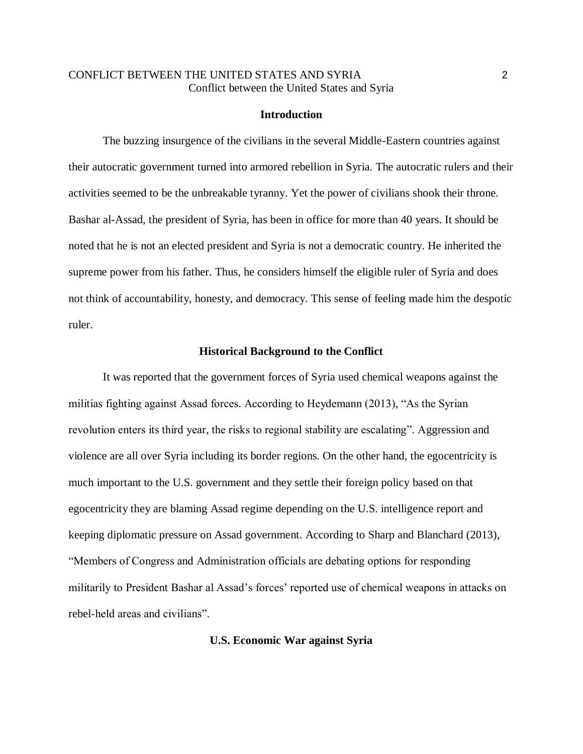# CONFLICT BETWEEN THE UNITED STATES AND SYRIA 2 Conflict between the United States and Syria

#### **Introduction**

The buzzing insurgence of the civilians in the several Middle-Eastern countries against their autocratic government turned into armored rebellion in Syria. The autocratic rulers and their activities seemed to be the unbreakable tyranny. Yet the power of civilians shook their throne. Bashar al-Assad, the president of Syria, has been in office for more than 40 years. It should be noted that he is not an elected president and Syria is not a democratic country. He inherited the supreme power from his father. Thus, he considers himself the eligible ruler of Syria and does not think of accountability, honesty, and democracy. This sense of feeling made him the despotic ruler.

#### **Historical Background to the Conflict**

It was reported that the government forces of Syria used chemical weapons against the militias fighting against Assad forces. According to Heydemann (2013), "As the Syrian revolution enters its third year, the risks to regional stability are escalating". Aggression and violence are all over Syria including its border regions. On the other hand, the egocentricity is much important to the U.S. government and they settle their foreign policy based on that egocentricity they are blaming Assad regime depending on the U.S. intelligence report and keeping diplomatic pressure on Assad government. According to Sharp and Blanchard (2013), "Members of Congress and Administration officials are debating options for responding militarily to President Bashar al Assad's forces' reported use of chemical weapons in attacks on rebel-held areas and civilians".

#### **U.S. Economic War against Syria**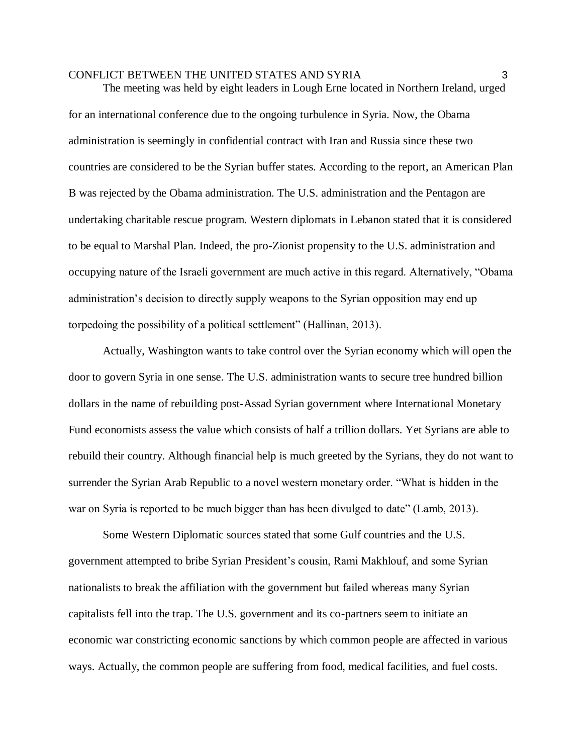The meeting was held by eight leaders in Lough Erne located in Northern Ireland, urged for an international conference due to the ongoing turbulence in Syria. Now, the Obama administration is seemingly in confidential contract with Iran and Russia since these two countries are considered to be the Syrian buffer states. According to the report, an American Plan B was rejected by the Obama administration. The U.S. administration and the Pentagon are undertaking charitable rescue program. Western diplomats in Lebanon stated that it is considered to be equal to Marshal Plan. Indeed, the pro-Zionist propensity to the U.S. administration and occupying nature of the Israeli government are much active in this regard. Alternatively, "Obama administration's decision to directly supply weapons to the Syrian opposition may end up torpedoing the possibility of a political settlement" (Hallinan, 2013).

Actually, Washington wants to take control over the Syrian economy which will open the door to govern Syria in one sense. The U.S. administration wants to secure tree hundred billion dollars in the name of rebuilding post-Assad Syrian government where International Monetary Fund economists assess the value which consists of half a trillion dollars. Yet Syrians are able to rebuild their country. Although financial help is much greeted by the Syrians, they do not want to surrender the Syrian Arab Republic to a novel western monetary order. "What is hidden in the war on Syria is reported to be much bigger than has been divulged to date" (Lamb, 2013).

Some Western Diplomatic sources stated that some Gulf countries and the U.S. government attempted to bribe Syrian President's cousin, Rami Makhlouf, and some Syrian nationalists to break the affiliation with the government but failed whereas many Syrian capitalists fell into the trap. The U.S. government and its co-partners seem to initiate an economic war constricting economic sanctions by which common people are affected in various ways. Actually, the common people are suffering from food, medical facilities, and fuel costs.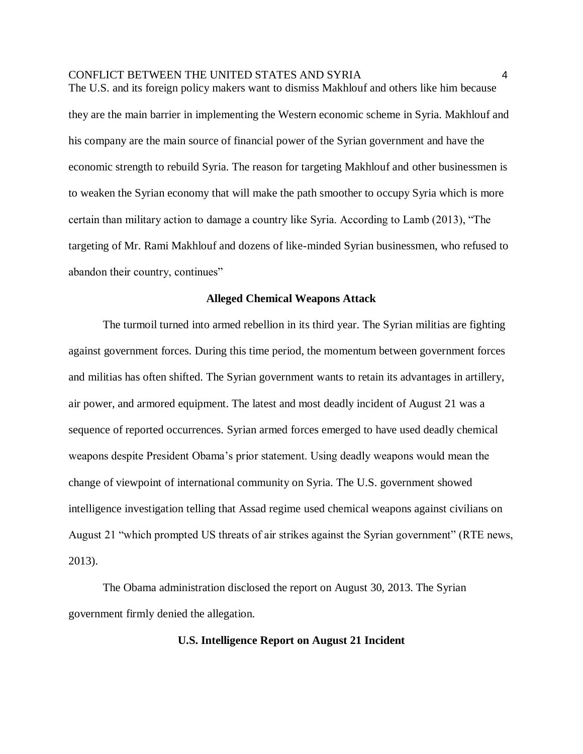The U.S. and its foreign policy makers want to dismiss Makhlouf and others like him because they are the main barrier in implementing the Western economic scheme in Syria. Makhlouf and his company are the main source of financial power of the Syrian government and have the economic strength to rebuild Syria. The reason for targeting Makhlouf and other businessmen is to weaken the Syrian economy that will make the path smoother to occupy Syria which is more certain than military action to damage a country like Syria. According to Lamb (2013), "The targeting of Mr. Rami Makhlouf and dozens of like-minded Syrian businessmen, who refused to abandon their country, continues"

#### **Alleged Chemical Weapons Attack**

The turmoil turned into armed rebellion in its third year. The Syrian militias are fighting against government forces. During this time period, the momentum between government forces and militias has often shifted. The Syrian government wants to retain its advantages in artillery, air power, and armored equipment. The latest and most deadly incident of August 21 was a sequence of reported occurrences. Syrian armed forces emerged to have used deadly chemical weapons despite President Obama's prior statement. Using deadly weapons would mean the change of viewpoint of international community on Syria. The U.S. government showed intelligence investigation telling that Assad regime used chemical weapons against civilians on August 21 "which prompted US threats of air strikes against the Syrian government" (RTE news, 2013).

The Obama administration disclosed the report on August 30, 2013. The Syrian government firmly denied the allegation.

# **U.S. Intelligence Report on August 21 Incident**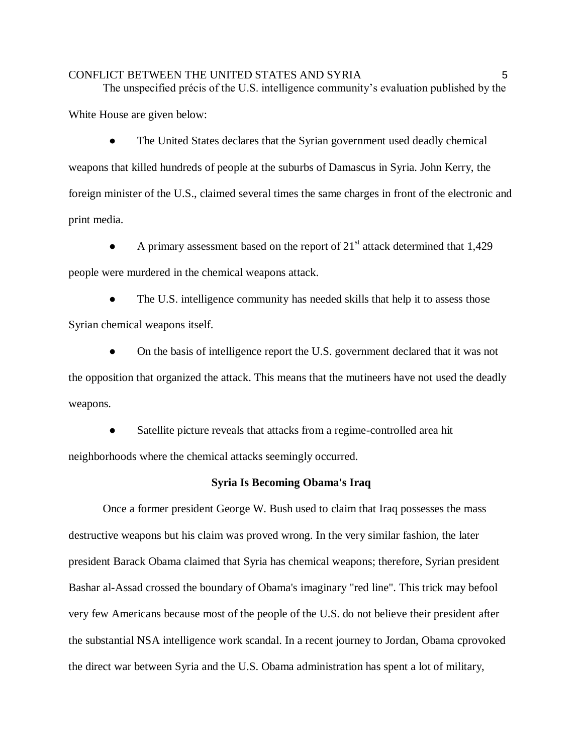The unspecified précis of the U.S. intelligence community's evaluation published by the

White House are given below:

The United States declares that the Syrian government used deadly chemical weapons that killed hundreds of people at the suburbs of Damascus in Syria. John Kerry, the foreign minister of the U.S., claimed several times the same charges in front of the electronic and print media.

A primary assessment based on the report of  $21<sup>st</sup>$  attack determined that 1,429 people were murdered in the chemical weapons attack.

The U.S. intelligence community has needed skills that help it to assess those Syrian chemical weapons itself.

● On the basis of intelligence report the U.S. government declared that it was not the opposition that organized the attack. This means that the mutineers have not used the deadly weapons.

Satellite picture reveals that attacks from a regime-controlled area hit neighborhoods where the chemical attacks seemingly occurred.

#### **Syria Is Becoming Obama's Iraq**

Once a former president George W. Bush used to claim that Iraq possesses the mass destructive weapons but his claim was proved wrong. In the very similar fashion, the later president Barack Obama claimed that Syria has chemical weapons; therefore, Syrian president Bashar al-Assad crossed the boundary of Obama's imaginary "red line". This trick may befool very few Americans because most of the people of the U.S. do not believe their president after the substantial NSA intelligence work scandal. In a recent journey to Jordan, Obama cprovoked the direct war between Syria and the U.S. Obama administration has spent a lot of military,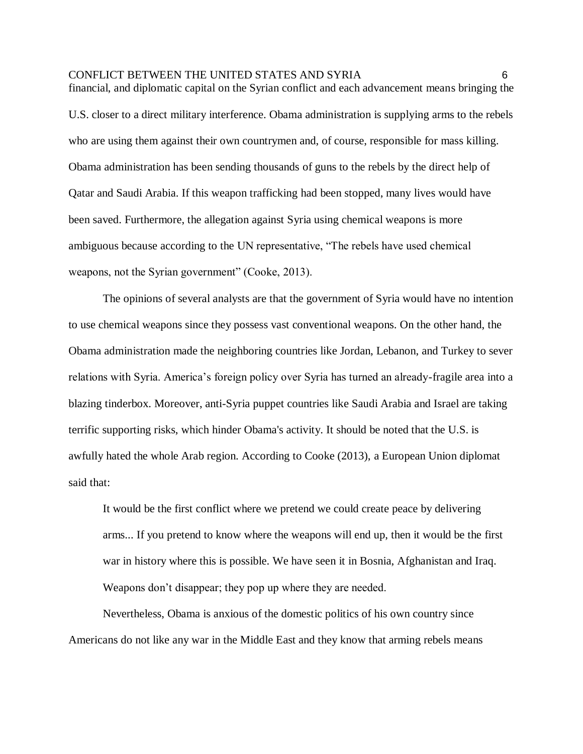financial, and diplomatic capital on the Syrian conflict and each advancement means bringing the U.S. closer to a direct military interference. Obama administration is supplying arms to the rebels who are using them against their own countrymen and, of course, responsible for mass killing. Obama administration has been sending thousands of guns to the rebels by the direct help of Qatar and Saudi Arabia. If this weapon trafficking had been stopped, many lives would have been saved. Furthermore, the allegation against Syria using chemical weapons is more ambiguous because according to the UN representative, "The rebels have used chemical weapons, not the Syrian government" (Cooke, 2013).

The opinions of several analysts are that the government of Syria would have no intention to use chemical weapons since they possess vast conventional weapons. On the other hand, the Obama administration made the neighboring countries like Jordan, Lebanon, and Turkey to sever relations with Syria. America's foreign policy over Syria has turned an already-fragile area into a blazing tinderbox. Moreover, anti-Syria puppet countries like Saudi Arabia and Israel are taking terrific supporting risks, which hinder Obama's activity. It should be noted that the U.S. is awfully hated the whole Arab region. According to Cooke (2013), [a European Union diplomat](http://www.independent.co.uk/news/world/europe/divided-europe-imperils-syrian-arms-embargo-8632376.html)  [said that:](http://www.independent.co.uk/news/world/europe/divided-europe-imperils-syrian-arms-embargo-8632376.html) 

[It would be the first conflict where we pretend we could create peace by delivering](http://www.independent.co.uk/news/world/europe/divided-europe-imperils-syrian-arms-embargo-8632376.html)  [arms... If you pretend to know where the weapons will end up, then it would be the first](http://www.independent.co.uk/news/world/europe/divided-europe-imperils-syrian-arms-embargo-8632376.html)  [war in history where this is possible. We have seen it in Bosnia, Afghanistan and Iraq.](http://www.independent.co.uk/news/world/europe/divided-europe-imperils-syrian-arms-embargo-8632376.html)  [Weapons don't disappear; they pop up where they are needed.](http://www.independent.co.uk/news/world/europe/divided-europe-imperils-syrian-arms-embargo-8632376.html) 

Nevertheless, Obama is anxious of the domestic politics of his own country since Americans do not like any war in the Middle East and they know that arming rebels means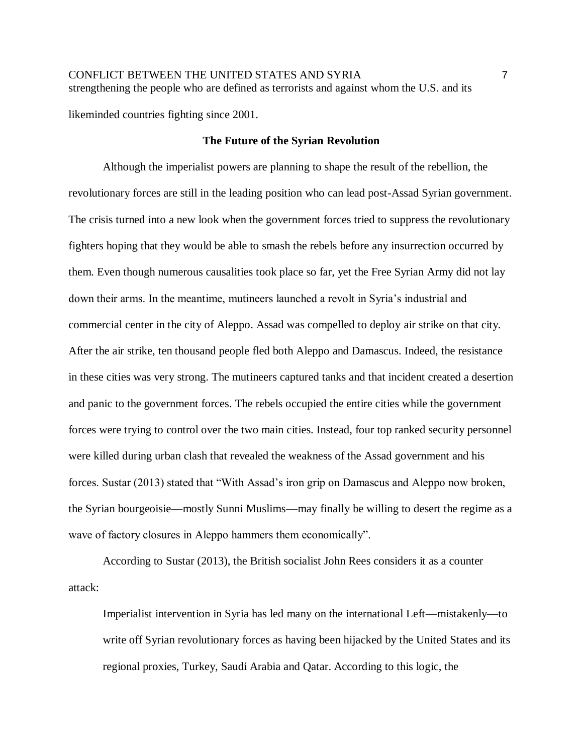CONFLICT BETWEEN THE UNITED STATES AND SYRIA 7 strengthening the people who are defined as terrorists and against whom the U.S. and its

likeminded countries fighting since 2001.

#### **The Future of the Syrian Revolution**

Although the imperialist powers are planning to shape the result of the rebellion, the revolutionary forces are still in the leading position who can lead post-Assad Syrian government. The crisis turned into a new look when the government forces tried to suppress the revolutionary fighters hoping that they would be able to smash the rebels before any insurrection occurred by them. Even though numerous causalities took place so far, yet the Free Syrian Army did not lay down their arms. In the meantime, mutineers launched a revolt in Syria's industrial and commercial center in the city of Aleppo. Assad was compelled to deploy air strike on that city. After the air strike, ten thousand people fled both Aleppo and Damascus. Indeed, the resistance in these cities was very strong. The mutineers captured tanks and that incident created a desertion and panic to the government forces. The rebels occupied the entire cities while the government forces were trying to control over the two main cities. Instead, four top ranked security personnel were killed during urban clash that revealed the weakness of the Assad government and his forces. Sustar (2013) stated that "With Assad's iron grip on Damascus and Aleppo now broken, the Syrian bourgeoisie—mostly Sunni Muslims—may finally be willing to desert the regime as a wave of factory closures in Aleppo hammers them economically".

According to Sustar (2013), the British socialist John Rees considers it as a counter attack:

Imperialist intervention in Syria has led many on the international Left—mistakenly—to write off Syrian revolutionary forces as having been hijacked by the United States and its regional proxies, Turkey, Saudi Arabia and Qatar. According to this logic, the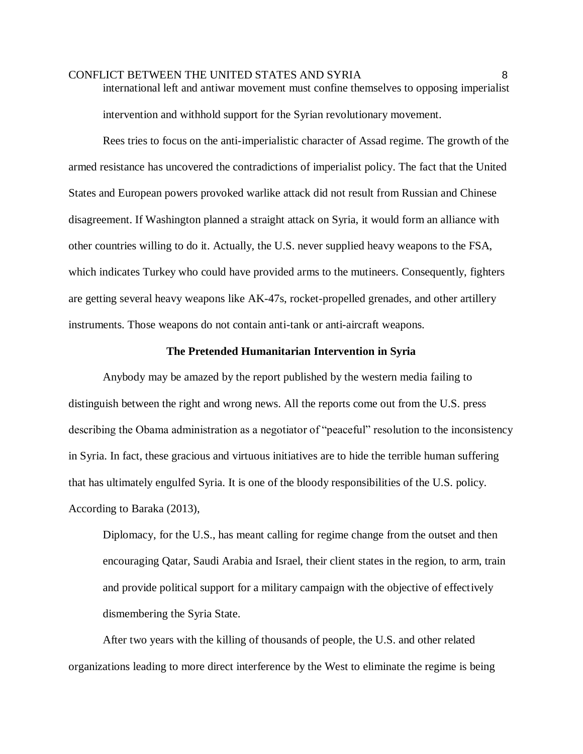international left and antiwar movement must confine themselves to opposing imperialist intervention and withhold support for the Syrian revolutionary movement.

Rees tries to focus on the anti-imperialistic character of Assad regime. The growth of the armed resistance has uncovered the contradictions of imperialist policy. The fact that the United States and European powers provoked warlike attack did not result from Russian and Chinese disagreement. If Washington planned a straight attack on Syria, it would form an alliance with other countries willing to do it. Actually, the U.S. never supplied heavy weapons to the FSA, which indicates Turkey who could have provided arms to the mutineers. Consequently, fighters are getting several heavy weapons like AK-47s, rocket-propelled grenades, and other artillery instruments. Those weapons do not contain anti-tank or anti-aircraft weapons.

#### **The Pretended Humanitarian Intervention in Syria**

Anybody may be amazed by the report published by the western media failing to distinguish between the right and wrong news. All the reports come out from the U.S. press describing the Obama administration as a negotiator of "peaceful" resolution to the inconsistency in Syria. In fact, these gracious and virtuous initiatives are to hide the terrible human suffering that has ultimately engulfed Syria. It is one of the bloody responsibilities of the U.S. policy. According to Baraka (2013),

Diplomacy, for the U.S., has meant calling for regime change from the outset and then encouraging Qatar, Saudi Arabia and Israel, their client states in the region, to arm, train and provide political support for a military campaign with the objective of effectively dismembering the Syria State.

After two years with the killing of thousands of people, the U.S. and other related organizations leading to more direct interference by the West to eliminate the regime is being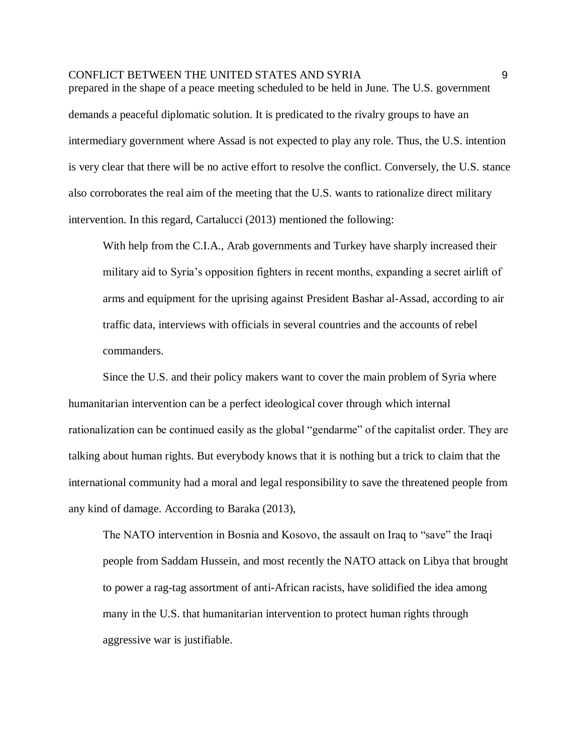prepared in the shape of a peace meeting scheduled to be held in June. The U.S. government demands a peaceful diplomatic solution. It is predicated to the rivalry groups to have an intermediary government where Assad is not expected to play any role. Thus, the U.S. intention is very clear that there will be no active effort to resolve the conflict. Conversely, the U.S. stance also corroborates the real aim of the meeting that the U.S. wants to rationalize direct military intervention. In this regard, Cartalucci (2013) mentioned the following:

With help from the C.I.A., Arab governments and Turkey have sharply increased their military aid to Syria's opposition fighters in recent months, expanding a secret airlift of arms and equipment for the uprising against President Bashar al-Assad, according to air traffic data, interviews with officials in several countries and the accounts of rebel commanders.

Since the U.S. and their policy makers want to cover the main problem of Syria where humanitarian intervention can be a perfect ideological cover through which internal rationalization can be continued easily as the global "gendarme" of the capitalist order. They are talking about human rights. But everybody knows that it is nothing but a trick to claim that the international community had a moral and legal responsibility to save the threatened people from any kind of damage. According to Baraka (2013),

The NATO intervention in Bosnia and Kosovo, the assault on Iraq to "save" the Iraqi people from Saddam Hussein, and most recently the NATO attack on Libya that brought to power a rag-tag assortment of anti-African racists, have solidified the idea among many in the U.S. that humanitarian intervention to protect human rights through aggressive war is justifiable.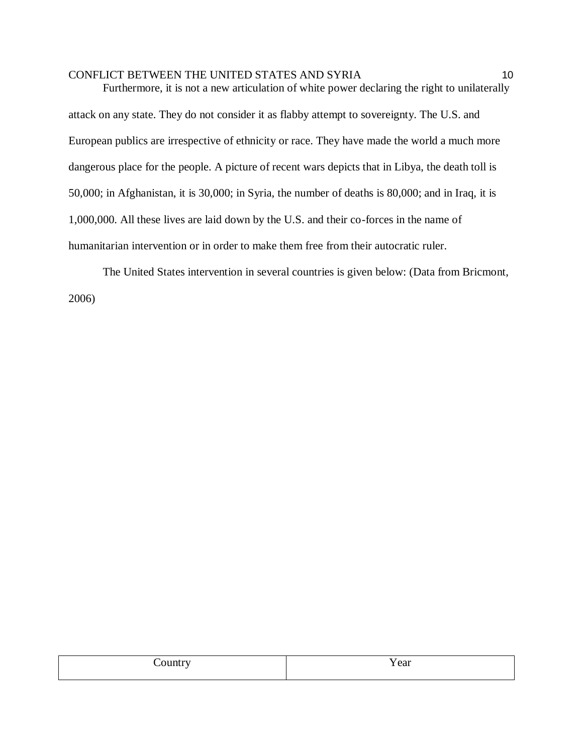Furthermore, it is not a new articulation of white power declaring the right to unilaterally attack on any state. They do not consider it as flabby attempt to sovereignty. The U.S. and European publics are irrespective of ethnicity or race. They have made the world a much more dangerous place for the people. A picture of recent wars depicts that in Libya, the death toll is 50,000; in Afghanistan, it is 30,000; in Syria, the number of deaths is 80,000; and in Iraq, it is 1,000,000. All these lives are laid down by the U.S. and their co-forces in the name of humanitarian intervention or in order to make them free from their autocratic ruler.

The United States intervention in several countries is given below: (Data from Bricmont, 2006)

| Y ear |
|-------|
|       |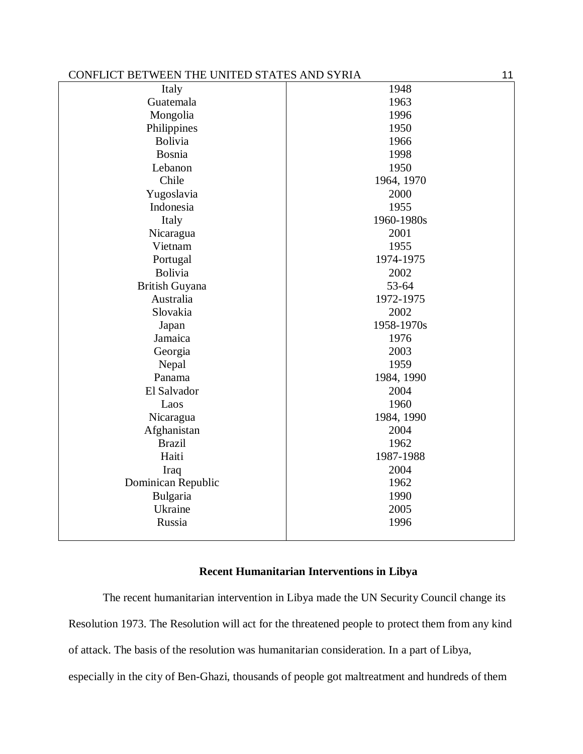| CONFLICT BETWEEN THE UNITED STATES AND SYRIA |            |
|----------------------------------------------|------------|
| Italy                                        | 1948       |
| Guatemala                                    | 1963       |
| Mongolia                                     | 1996       |
| Philippines                                  | 1950       |
| <b>Bolivia</b>                               | 1966       |
| Bosnia                                       | 1998       |
| Lebanon                                      | 1950       |
| Chile                                        | 1964, 1970 |
| Yugoslavia                                   | 2000       |
| Indonesia                                    | 1955       |
| Italy                                        | 1960-1980s |
| Nicaragua                                    | 2001       |
| Vietnam                                      | 1955       |
| Portugal                                     | 1974-1975  |
| Bolivia                                      | 2002       |
| <b>British Guyana</b>                        | 53-64      |
| Australia                                    | 1972-1975  |
| Slovakia                                     | 2002       |
| Japan                                        | 1958-1970s |
| Jamaica                                      | 1976       |
| Georgia                                      | 2003       |
| Nepal                                        | 1959       |
| Panama                                       | 1984, 1990 |
| El Salvador                                  | 2004       |
| Laos                                         | 1960       |
| Nicaragua                                    | 1984, 1990 |
| Afghanistan                                  | 2004       |
| <b>Brazil</b>                                | 1962       |
| Haiti                                        | 1987-1988  |
| Iraq                                         | 2004       |
| Dominican Republic                           | 1962       |
| Bulgaria                                     | 1990       |
| Ukraine                                      | 2005       |
| Russia                                       | 1996       |
|                                              |            |

# **Recent Humanitarian Interventions in Libya**

The recent humanitarian intervention in Libya made the UN Security Council change its Resolution 1973. The Resolution will act for the threatened people to protect them from any kind of attack. The basis of the resolution was humanitarian consideration. In a part of Libya, especially in the city of Ben-Ghazi, thousands of people got maltreatment and hundreds of them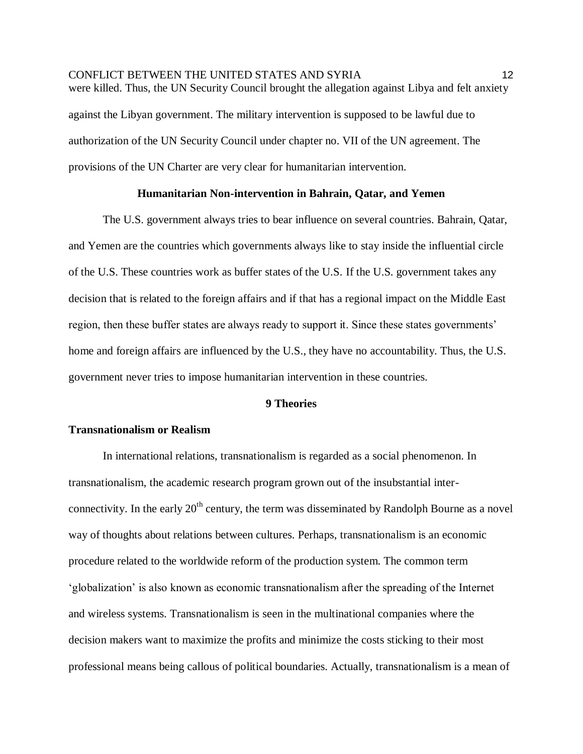CONFLICT BETWEEN THE UNITED STATES AND SYRIA 12 were killed. Thus, the UN Security Council brought the allegation against Libya and felt anxiety against the Libyan government. The military intervention is supposed to be lawful due to authorization of the UN Security Council under chapter no. VII of the UN agreement. The provisions of the UN Charter are very clear for humanitarian intervention.

#### **Humanitarian Non-intervention in Bahrain, Qatar, and Yemen**

The U.S. government always tries to bear influence on several countries. Bahrain, Qatar, and Yemen are the countries which governments always like to stay inside the influential circle of the U.S. These countries work as buffer states of the U.S. If the U.S. government takes any decision that is related to the foreign affairs and if that has a regional impact on the Middle East region, then these buffer states are always ready to support it. Since these states governments' home and foreign affairs are influenced by the U.S., they have no accountability. Thus, the U.S. government never tries to impose humanitarian intervention in these countries.

# **9 Theories**

# **Transnationalism or Realism**

In international relations, transnationalism is regarded as a social phenomenon. In transnationalism, the academic research program grown out of the insubstantial interconnectivity. In the early  $20<sup>th</sup>$  century, the term was disseminated by Randolph Bourne as a novel way of thoughts about relations between cultures. Perhaps, transnationalism is an economic procedure related to the worldwide reform of the production system. The common term 'globalization' is also known as economic transnationalism after the spreading of the Internet and wireless systems. Transnationalism is seen in the multinational companies where the decision makers want to maximize the profits and minimize the costs sticking to their most professional means being callous of political boundaries. Actually, transnationalism is a mean of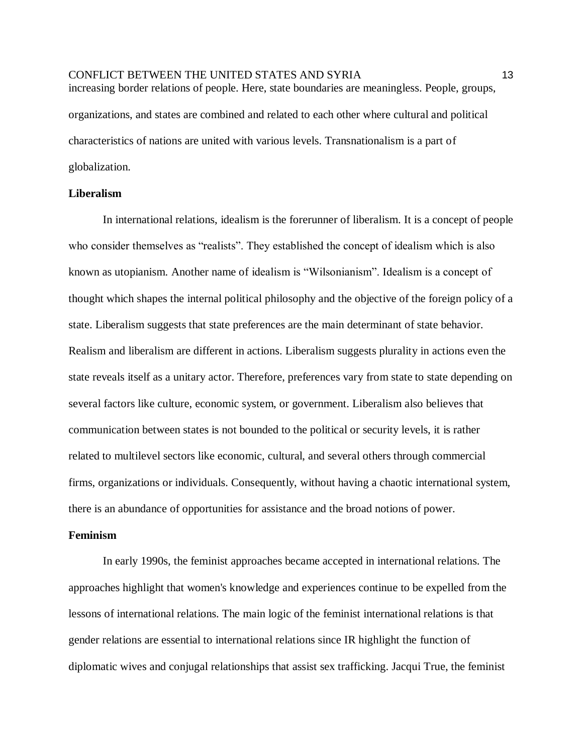# CONFLICT BETWEEN THE UNITED STATES AND SYRIA 13 increasing border relations of people. Here, state boundaries are meaningless. People, groups, organizations, and states are combined and related to each other where cultural and political characteristics of nations are united with various levels. Transnationalism is a part of globalization.

#### **Liberalism**

In international relations, idealism is the forerunner of liberalism. It is a concept of people who consider themselves as "realists". They established the concept of idealism which is also known as utopianism. Another name of idealism is "Wilsonianism". Idealism is a concept of thought which shapes the internal political philosophy and the objective of the foreign policy of a state. Liberalism suggests that state preferences are the main determinant of state behavior. Realism and liberalism are different in actions. Liberalism suggests plurality in actions even the state reveals itself as a unitary actor. Therefore, preferences vary from state to state depending on several factors like culture, economic system, or government. Liberalism also believes that communication between states is not bounded to the political or security levels, it is rather related to multilevel sectors like economic, cultural, and several others through commercial firms, organizations or individuals. Consequently, without having a chaotic international system, there is an abundance of opportunities for assistance and the broad notions of power.

# **Feminism**

In early 1990s, the feminist approaches became accepted in international relations. The approaches highlight that women's knowledge and experiences continue to be expelled from the lessons of international relations. The main logic of the feminist international relations is that gender relations are essential to international relations since IR highlight the function of diplomatic wives and conjugal relationships that assist sex trafficking. Jacqui True, the feminist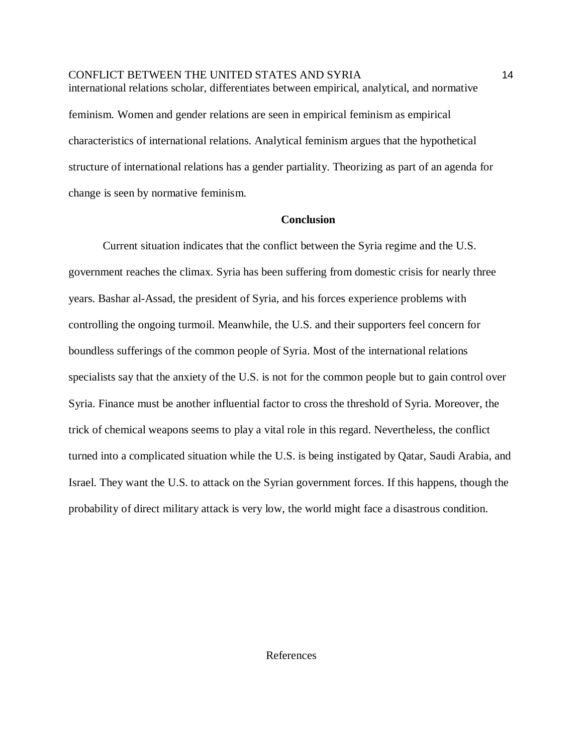CONFLICT BETWEEN THE UNITED STATES AND SYRIA 14 international relations scholar, differentiates between empirical, analytical, and normative feminism. Women and gender relations are seen in empirical feminism as empirical characteristics of international relations. Analytical feminism argues that the hypothetical structure of international relations has a gender partiality. Theorizing as part of an agenda for change is seen by normative feminism.

# **Conclusion**

Current situation indicates that the conflict between the Syria regime and the U.S. government reaches the climax. Syria has been suffering from domestic crisis for nearly three years. Bashar al-Assad, the president of Syria, and his forces experience problems with controlling the ongoing turmoil. Meanwhile, the U.S. and their supporters feel concern for boundless sufferings of the common people of Syria. Most of the international relations specialists say that the anxiety of the U.S. is not for the common people but to gain control over Syria. Finance must be another influential factor to cross the threshold of Syria. Moreover, the trick of chemical weapons seems to play a vital role in this regard. Nevertheless, the conflict turned into a complicated situation while the U.S. is being instigated by Qatar, Saudi Arabia, and Israel. They want the U.S. to attack on the Syrian government forces. If this happens, though the probability of direct military attack is very low, the world might face a disastrous condition.